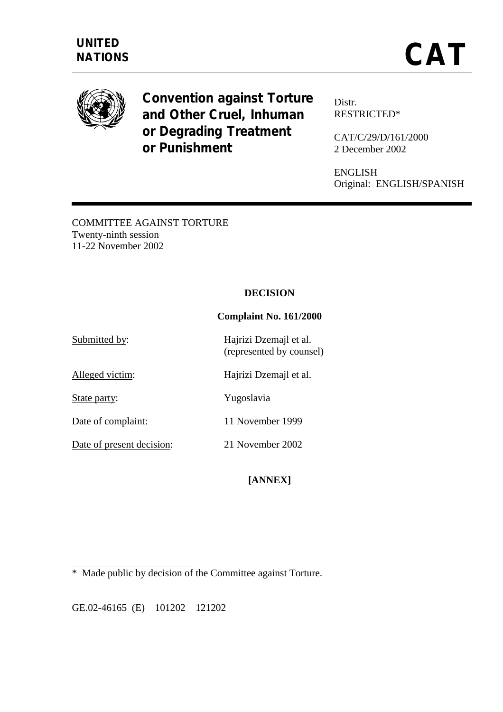

**Convention against Torture and Other Cruel, Inhuman or Degrading Treatment or Punishment** 

Distr. RESTRICTED\*

CAT/C/29/D/161/2000 2 December 2002

ENGLISH Original: ENGLISH/SPANISH

COMMITTEE AGAINST TORTURE Twenty-ninth session 11-22 November 2002

## **DECISION**

## **Complaint No. 161/2000**

Submitted by: Hajrizi Dzemajl et al. (represented by counsel) Alleged victim: Hajrizi Dzemajl et al. State party: Yugoslavia Date of complaint: 11 November 1999

Date of present decision: 21 November 2002

# **[ANNEX]**

\* Made public by decision of the Committee against Torture.

GE.02-46165 (E) 101202 121202

 $\overline{a}$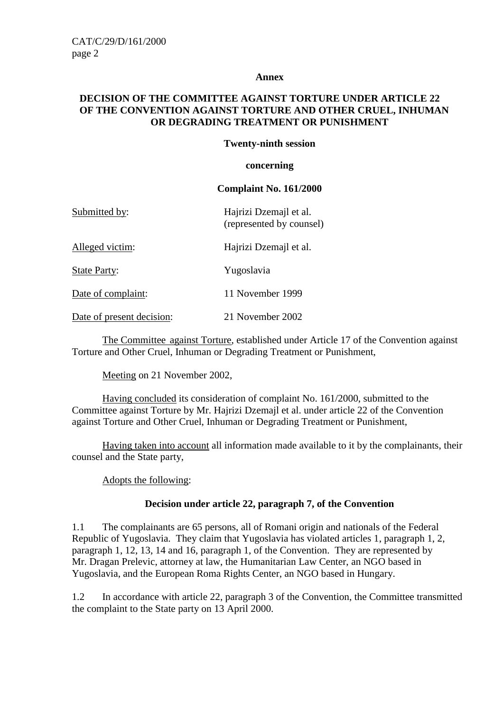#### **Annex**

## **DECISION OF THE COMMITTEE AGAINST TORTURE UNDER ARTICLE 22 OF THE CONVENTION AGAINST TORTURE AND OTHER CRUEL, INHUMAN OR DEGRADING TREATMENT OR PUNISHMENT**

### **Twenty-ninth session**

#### **concerning**

#### **Complaint No. 161/2000**

| Submitted by:       | Hajrizi Dzemajl et al.<br>(represented by counsel) |
|---------------------|----------------------------------------------------|
| Alleged victim:     | Hajrizi Dzemajl et al.                             |
| <b>State Party:</b> | Yugoslavia                                         |

Date of complaint: 11 November 1999

Date of present decision: 21 November 2002

 The Committee against Torture, established under Article 17 of the Convention against Torture and Other Cruel, Inhuman or Degrading Treatment or Punishment,

Meeting on 21 November 2002,

 Having concluded its consideration of complaint No. 161/2000, submitted to the Committee against Torture by Mr. Hajrizi Dzemajl et al. under article 22 of the Convention against Torture and Other Cruel, Inhuman or Degrading Treatment or Punishment,

 Having taken into account all information made available to it by the complainants, their counsel and the State party,

Adopts the following:

## **Decision under article 22, paragraph 7, of the Convention**

1.1 The complainants are 65 persons, all of Romani origin and nationals of the Federal Republic of Yugoslavia. They claim that Yugoslavia has violated articles 1, paragraph 1, 2, paragraph 1, 12, 13, 14 and 16, paragraph 1, of the Convention. They are represented by Mr. Dragan Prelevic, attorney at law, the Humanitarian Law Center, an NGO based in Yugoslavia, and the European Roma Rights Center, an NGO based in Hungary.

1.2 In accordance with article 22, paragraph 3 of the Convention, the Committee transmitted the complaint to the State party on 13 April 2000.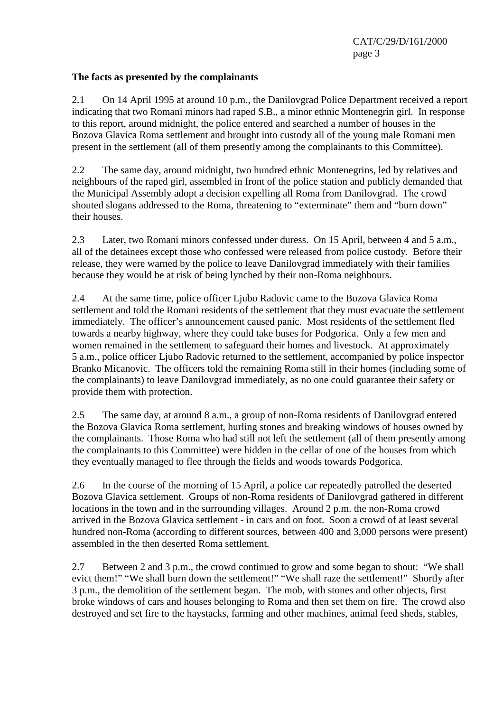## **The facts as presented by the complainants**

2.1 On 14 April 1995 at around 10 p.m., the Danilovgrad Police Department received a report indicating that two Romani minors had raped S.B., a minor ethnic Montenegrin girl. In response to this report, around midnight, the police entered and searched a number of houses in the Bozova Glavica Roma settlement and brought into custody all of the young male Romani men present in the settlement (all of them presently among the complainants to this Committee).

2.2 The same day, around midnight, two hundred ethnic Montenegrins, led by relatives and neighbours of the raped girl, assembled in front of the police station and publicly demanded that the Municipal Assembly adopt a decision expelling all Roma from Danilovgrad. The crowd shouted slogans addressed to the Roma, threatening to "exterminate" them and "burn down" their houses.

2.3 Later, two Romani minors confessed under duress. On 15 April, between 4 and 5 a.m., all of the detainees except those who confessed were released from police custody. Before their release, they were warned by the police to leave Danilovgrad immediately with their families because they would be at risk of being lynched by their non-Roma neighbours.

2.4 At the same time, police officer Ljubo Radovic came to the Bozova Glavica Roma settlement and told the Romani residents of the settlement that they must evacuate the settlement immediately. The officer's announcement caused panic. Most residents of the settlement fled towards a nearby highway, where they could take buses for Podgorica. Only a few men and women remained in the settlement to safeguard their homes and livestock. At approximately 5 a.m., police officer Ljubo Radovic returned to the settlement, accompanied by police inspector Branko Micanovic. The officers told the remaining Roma still in their homes (including some of the complainants) to leave Danilovgrad immediately, as no one could guarantee their safety or provide them with protection.

2.5 The same day, at around 8 a.m., a group of non-Roma residents of Danilovgrad entered the Bozova Glavica Roma settlement, hurling stones and breaking windows of houses owned by the complainants. Those Roma who had still not left the settlement (all of them presently among the complainants to this Committee) were hidden in the cellar of one of the houses from which they eventually managed to flee through the fields and woods towards Podgorica.

2.6 In the course of the morning of 15 April, a police car repeatedly patrolled the deserted Bozova Glavica settlement. Groups of non-Roma residents of Danilovgrad gathered in different locations in the town and in the surrounding villages. Around 2 p.m. the non-Roma crowd arrived in the Bozova Glavica settlement - in cars and on foot. Soon a crowd of at least several hundred non-Roma (according to different sources, between 400 and 3,000 persons were present) assembled in the then deserted Roma settlement.

2.7 Between 2 and 3 p.m., the crowd continued to grow and some began to shout: "We shall evict them!" "We shall burn down the settlement!" "We shall raze the settlement!" Shortly after 3 p.m., the demolition of the settlement began. The mob, with stones and other objects, first broke windows of cars and houses belonging to Roma and then set them on fire. The crowd also destroyed and set fire to the haystacks, farming and other machines, animal feed sheds, stables,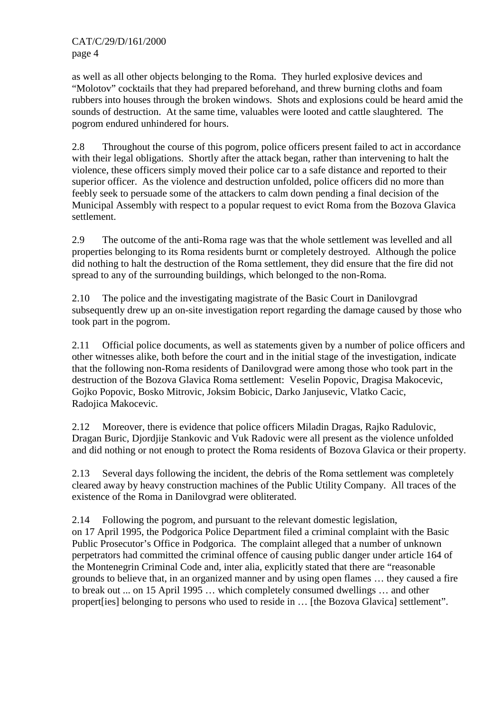as well as all other objects belonging to the Roma. They hurled explosive devices and "Molotov" cocktails that they had prepared beforehand, and threw burning cloths and foam rubbers into houses through the broken windows. Shots and explosions could be heard amid the sounds of destruction. At the same time, valuables were looted and cattle slaughtered. The pogrom endured unhindered for hours.

2.8 Throughout the course of this pogrom, police officers present failed to act in accordance with their legal obligations. Shortly after the attack began, rather than intervening to halt the violence, these officers simply moved their police car to a safe distance and reported to their superior officer. As the violence and destruction unfolded, police officers did no more than feebly seek to persuade some of the attackers to calm down pending a final decision of the Municipal Assembly with respect to a popular request to evict Roma from the Bozova Glavica settlement.

2.9 The outcome of the anti-Roma rage was that the whole settlement was levelled and all properties belonging to its Roma residents burnt or completely destroyed. Although the police did nothing to halt the destruction of the Roma settlement, they did ensure that the fire did not spread to any of the surrounding buildings, which belonged to the non-Roma.

2.10 The police and the investigating magistrate of the Basic Court in Danilovgrad subsequently drew up an on-site investigation report regarding the damage caused by those who took part in the pogrom.

2.11 Official police documents, as well as statements given by a number of police officers and other witnesses alike, both before the court and in the initial stage of the investigation, indicate that the following non-Roma residents of Danilovgrad were among those who took part in the destruction of the Bozova Glavica Roma settlement: Veselin Popovic, Dragisa Makocevic, Gojko Popovic, Bosko Mitrovic, Joksim Bobicic, Darko Janjusevic, Vlatko Cacic, Radojica Makocevic.

2.12 Moreover, there is evidence that police officers Miladin Dragas, Rajko Radulovic, Dragan Buric, Djordjije Stankovic and Vuk Radovic were all present as the violence unfolded and did nothing or not enough to protect the Roma residents of Bozova Glavica or their property.

2.13 Several days following the incident, the debris of the Roma settlement was completely cleared away by heavy construction machines of the Public Utility Company. All traces of the existence of the Roma in Danilovgrad were obliterated.

2.14 Following the pogrom, and pursuant to the relevant domestic legislation, on 17 April 1995, the Podgorica Police Department filed a criminal complaint with the Basic Public Prosecutor's Office in Podgorica. The complaint alleged that a number of unknown perpetrators had committed the criminal offence of causing public danger under article 164 of the Montenegrin Criminal Code and, inter alia, explicitly stated that there are "reasonable grounds to believe that, in an organized manner and by using open flames … they caused a fire to break out ... on 15 April 1995 … which completely consumed dwellings … and other propert[ies] belonging to persons who used to reside in … [the Bozova Glavica] settlement".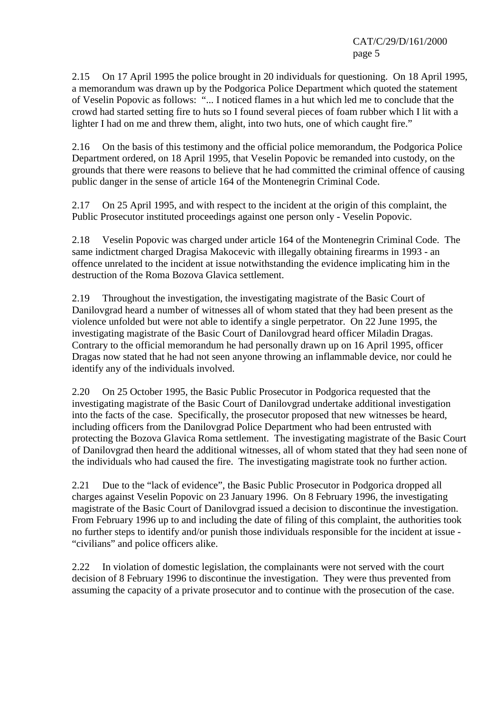2.15 On 17 April 1995 the police brought in 20 individuals for questioning. On 18 April 1995, a memorandum was drawn up by the Podgorica Police Department which quoted the statement of Veselin Popovic as follows: "... I noticed flames in a hut which led me to conclude that the crowd had started setting fire to huts so I found several pieces of foam rubber which I lit with a lighter I had on me and threw them, alight, into two huts, one of which caught fire."

2.16 On the basis of this testimony and the official police memorandum, the Podgorica Police Department ordered, on 18 April 1995, that Veselin Popovic be remanded into custody, on the grounds that there were reasons to believe that he had committed the criminal offence of causing public danger in the sense of article 164 of the Montenegrin Criminal Code.

2.17 On 25 April 1995, and with respect to the incident at the origin of this complaint, the Public Prosecutor instituted proceedings against one person only - Veselin Popovic.

2.18 Veselin Popovic was charged under article 164 of the Montenegrin Criminal Code. The same indictment charged Dragisa Makocevic with illegally obtaining firearms in 1993 - an offence unrelated to the incident at issue notwithstanding the evidence implicating him in the destruction of the Roma Bozova Glavica settlement.

2.19 Throughout the investigation, the investigating magistrate of the Basic Court of Danilovgrad heard a number of witnesses all of whom stated that they had been present as the violence unfolded but were not able to identify a single perpetrator. On 22 June 1995, the investigating magistrate of the Basic Court of Danilovgrad heard officer Miladin Dragas. Contrary to the official memorandum he had personally drawn up on 16 April 1995, officer Dragas now stated that he had not seen anyone throwing an inflammable device, nor could he identify any of the individuals involved.

2.20 On 25 October 1995, the Basic Public Prosecutor in Podgorica requested that the investigating magistrate of the Basic Court of Danilovgrad undertake additional investigation into the facts of the case. Specifically, the prosecutor proposed that new witnesses be heard, including officers from the Danilovgrad Police Department who had been entrusted with protecting the Bozova Glavica Roma settlement. The investigating magistrate of the Basic Court of Danilovgrad then heard the additional witnesses, all of whom stated that they had seen none of the individuals who had caused the fire. The investigating magistrate took no further action.

2.21 Due to the "lack of evidence", the Basic Public Prosecutor in Podgorica dropped all charges against Veselin Popovic on 23 January 1996. On 8 February 1996, the investigating magistrate of the Basic Court of Danilovgrad issued a decision to discontinue the investigation. From February 1996 up to and including the date of filing of this complaint, the authorities took no further steps to identify and/or punish those individuals responsible for the incident at issue - "civilians" and police officers alike.

2.22 In violation of domestic legislation, the complainants were not served with the court decision of 8 February 1996 to discontinue the investigation. They were thus prevented from assuming the capacity of a private prosecutor and to continue with the prosecution of the case.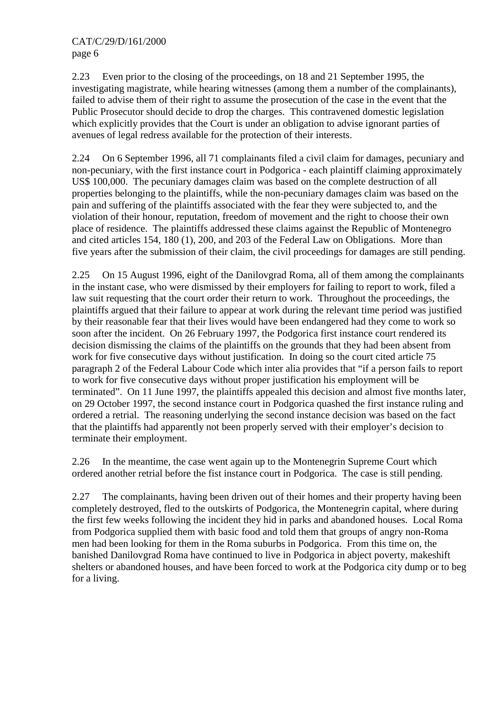2.23 Even prior to the closing of the proceedings, on 18 and 21 September 1995, the investigating magistrate, while hearing witnesses (among them a number of the complainants), failed to advise them of their right to assume the prosecution of the case in the event that the Public Prosecutor should decide to drop the charges. This contravened domestic legislation which explicitly provides that the Court is under an obligation to advise ignorant parties of avenues of legal redress available for the protection of their interests.

2.24 On 6 September 1996, all 71 complainants filed a civil claim for damages, pecuniary and non-pecuniary, with the first instance court in Podgorica - each plaintiff claiming approximately US\$ 100,000. The pecuniary damages claim was based on the complete destruction of all properties belonging to the plaintiffs, while the non-pecuniary damages claim was based on the pain and suffering of the plaintiffs associated with the fear they were subjected to, and the violation of their honour, reputation, freedom of movement and the right to choose their own place of residence. The plaintiffs addressed these claims against the Republic of Montenegro and cited articles 154, 180 (1), 200, and 203 of the Federal Law on Obligations. More than five years after the submission of their claim, the civil proceedings for damages are still pending.

2.25 On 15 August 1996, eight of the Danilovgrad Roma, all of them among the complainants in the instant case, who were dismissed by their employers for failing to report to work, filed a law suit requesting that the court order their return to work. Throughout the proceedings, the plaintiffs argued that their failure to appear at work during the relevant time period was justified by their reasonable fear that their lives would have been endangered had they come to work so soon after the incident. On 26 February 1997, the Podgorica first instance court rendered its decision dismissing the claims of the plaintiffs on the grounds that they had been absent from work for five consecutive days without justification. In doing so the court cited article 75 paragraph 2 of the Federal Labour Code which inter alia provides that "if a person fails to report to work for five consecutive days without proper justification his employment will be terminated". On 11 June 1997, the plaintiffs appealed this decision and almost five months later, on 29 October 1997, the second instance court in Podgorica quashed the first instance ruling and ordered a retrial. The reasoning underlying the second instance decision was based on the fact that the plaintiffs had apparently not been properly served with their employer's decision to terminate their employment.

2.26 In the meantime, the case went again up to the Montenegrin Supreme Court which ordered another retrial before the fist instance court in Podgorica. The case is still pending.

2.27 The complainants, having been driven out of their homes and their property having been completely destroyed, fled to the outskirts of Podgorica, the Montenegrin capital, where during the first few weeks following the incident they hid in parks and abandoned houses. Local Roma from Podgorica supplied them with basic food and told them that groups of angry non-Roma men had been looking for them in the Roma suburbs in Podgorica. From this time on, the banished Danilovgrad Roma have continued to live in Podgorica in abject poverty, makeshift shelters or abandoned houses, and have been forced to work at the Podgorica city dump or to beg for a living.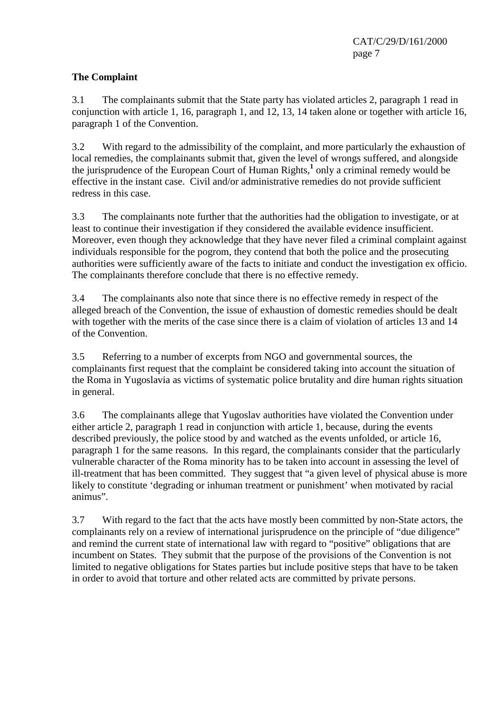# **The Complaint**

3.1 The complainants submit that the State party has violated articles 2, paragraph 1 read in conjunction with article 1, 16, paragraph 1, and 12, 13, 14 taken alone or together with article 16, paragraph 1 of the Convention.

3.2 With regard to the admissibility of the complaint, and more particularly the exhaustion of local remedies, the complainants submit that, given the level of wrongs suffered, and alongside the jurisprudence of the European Court of Human Rights,<sup>1</sup> only a criminal remedy would be effective in the instant case. Civil and/or administrative remedies do not provide sufficient redress in this case.

3.3 The complainants note further that the authorities had the obligation to investigate, or at least to continue their investigation if they considered the available evidence insufficient. Moreover, even though they acknowledge that they have never filed a criminal complaint against individuals responsible for the pogrom, they contend that both the police and the prosecuting authorities were sufficiently aware of the facts to initiate and conduct the investigation ex officio. The complainants therefore conclude that there is no effective remedy.

3.4 The complainants also note that since there is no effective remedy in respect of the alleged breach of the Convention, the issue of exhaustion of domestic remedies should be dealt with together with the merits of the case since there is a claim of violation of articles 13 and 14 of the Convention.

3.5 Referring to a number of excerpts from NGO and governmental sources, the complainants first request that the complaint be considered taking into account the situation of the Roma in Yugoslavia as victims of systematic police brutality and dire human rights situation in general.

3.6 The complainants allege that Yugoslav authorities have violated the Convention under either article 2, paragraph 1 read in conjunction with article 1, because, during the events described previously, the police stood by and watched as the events unfolded, or article 16, paragraph 1 for the same reasons. In this regard, the complainants consider that the particularly vulnerable character of the Roma minority has to be taken into account in assessing the level of ill-treatment that has been committed. They suggest that "a given level of physical abuse is more likely to constitute 'degrading or inhuman treatment or punishment' when motivated by racial animus".

3.7 With regard to the fact that the acts have mostly been committed by non-State actors, the complainants rely on a review of international jurisprudence on the principle of "due diligence" and remind the current state of international law with regard to "positive" obligations that are incumbent on States. They submit that the purpose of the provisions of the Convention is not limited to negative obligations for States parties but include positive steps that have to be taken in order to avoid that torture and other related acts are committed by private persons.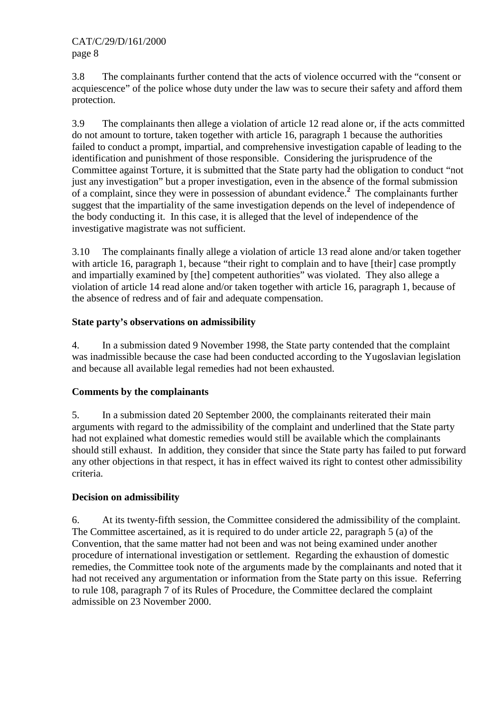3.8 The complainants further contend that the acts of violence occurred with the "consent or acquiescence" of the police whose duty under the law was to secure their safety and afford them protection.

3.9 The complainants then allege a violation of article 12 read alone or, if the acts committed do not amount to torture, taken together with article 16, paragraph 1 because the authorities failed to conduct a prompt, impartial, and comprehensive investigation capable of leading to the identification and punishment of those responsible. Considering the jurisprudence of the Committee against Torture, it is submitted that the State party had the obligation to conduct "not just any investigation" but a proper investigation, even in the absence of the formal submission of a complaint, since they were in possession of abundant evidence.**<sup>2</sup>** The complainants further suggest that the impartiality of the same investigation depends on the level of independence of the body conducting it. In this case, it is alleged that the level of independence of the investigative magistrate was not sufficient.

3.10 The complainants finally allege a violation of article 13 read alone and/or taken together with article 16, paragraph 1, because "their right to complain and to have [their] case promptly and impartially examined by [the] competent authorities" was violated. They also allege a violation of article 14 read alone and/or taken together with article 16, paragraph 1, because of the absence of redress and of fair and adequate compensation.

# **State party's observations on admissibility**

4. In a submission dated 9 November 1998, the State party contended that the complaint was inadmissible because the case had been conducted according to the Yugoslavian legislation and because all available legal remedies had not been exhausted.

## **Comments by the complainants**

5. In a submission dated 20 September 2000, the complainants reiterated their main arguments with regard to the admissibility of the complaint and underlined that the State party had not explained what domestic remedies would still be available which the complainants should still exhaust. In addition, they consider that since the State party has failed to put forward any other objections in that respect, it has in effect waived its right to contest other admissibility criteria.

## **Decision on admissibility**

6. At its twenty-fifth session, the Committee considered the admissibility of the complaint. The Committee ascertained, as it is required to do under article 22, paragraph 5 (a) of the Convention, that the same matter had not been and was not being examined under another procedure of international investigation or settlement. Regarding the exhaustion of domestic remedies, the Committee took note of the arguments made by the complainants and noted that it had not received any argumentation or information from the State party on this issue. Referring to rule 108, paragraph 7 of its Rules of Procedure, the Committee declared the complaint admissible on 23 November 2000.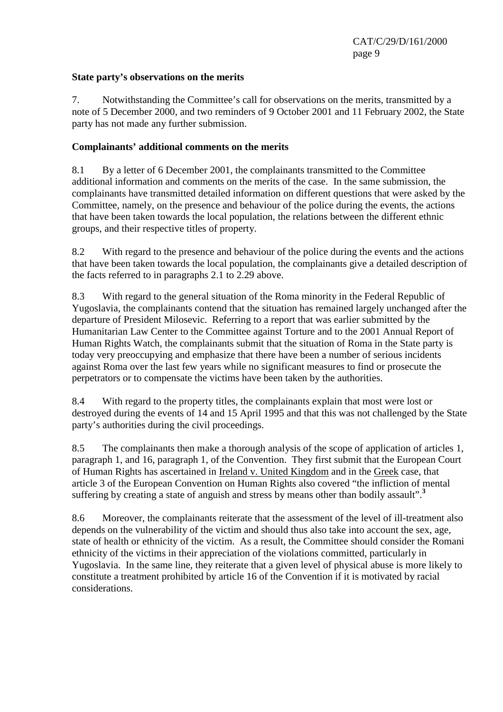## **State party's observations on the merits**

7. Notwithstanding the Committee's call for observations on the merits, transmitted by a note of 5 December 2000, and two reminders of 9 October 2001 and 11 February 2002, the State party has not made any further submission.

## **Complainants' additional comments on the merits**

8.1 By a letter of 6 December 2001, the complainants transmitted to the Committee additional information and comments on the merits of the case. In the same submission, the complainants have transmitted detailed information on different questions that were asked by the Committee, namely, on the presence and behaviour of the police during the events, the actions that have been taken towards the local population, the relations between the different ethnic groups, and their respective titles of property.

8.2 With regard to the presence and behaviour of the police during the events and the actions that have been taken towards the local population, the complainants give a detailed description of the facts referred to in paragraphs 2.1 to 2.29 above.

8.3 With regard to the general situation of the Roma minority in the Federal Republic of Yugoslavia, the complainants contend that the situation has remained largely unchanged after the departure of President Milosevic. Referring to a report that was earlier submitted by the Humanitarian Law Center to the Committee against Torture and to the 2001 Annual Report of Human Rights Watch, the complainants submit that the situation of Roma in the State party is today very preoccupying and emphasize that there have been a number of serious incidents against Roma over the last few years while no significant measures to find or prosecute the perpetrators or to compensate the victims have been taken by the authorities.

8.4 With regard to the property titles, the complainants explain that most were lost or destroyed during the events of 14 and 15 April 1995 and that this was not challenged by the State party's authorities during the civil proceedings.

8.5 The complainants then make a thorough analysis of the scope of application of articles 1, paragraph 1, and 16, paragraph 1, of the Convention. They first submit that the European Court of Human Rights has ascertained in Ireland v. United Kingdom and in the Greek case, that article 3 of the European Convention on Human Rights also covered "the infliction of mental suffering by creating a state of anguish and stress by means other than bodily assault".**<sup>3</sup>**

8.6 Moreover, the complainants reiterate that the assessment of the level of ill-treatment also depends on the vulnerability of the victim and should thus also take into account the sex, age, state of health or ethnicity of the victim. As a result, the Committee should consider the Romani ethnicity of the victims in their appreciation of the violations committed, particularly in Yugoslavia. In the same line, they reiterate that a given level of physical abuse is more likely to constitute a treatment prohibited by article 16 of the Convention if it is motivated by racial considerations.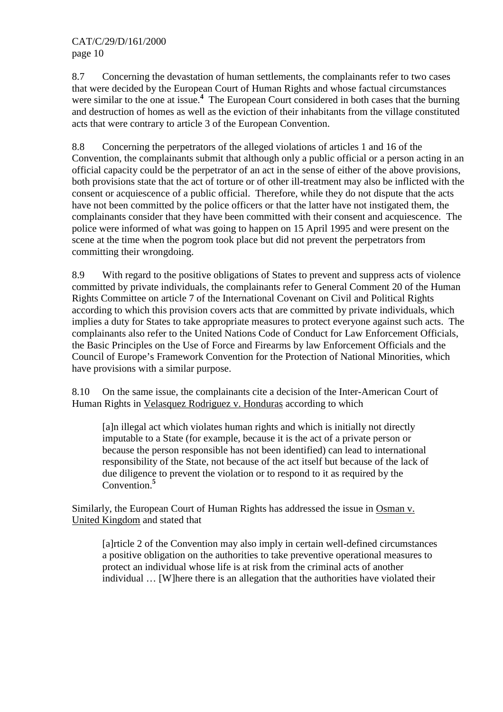8.7 Concerning the devastation of human settlements, the complainants refer to two cases that were decided by the European Court of Human Rights and whose factual circumstances were similar to the one at issue.**<sup>4</sup>** The European Court considered in both cases that the burning and destruction of homes as well as the eviction of their inhabitants from the village constituted acts that were contrary to article 3 of the European Convention.

8.8 Concerning the perpetrators of the alleged violations of articles 1 and 16 of the Convention, the complainants submit that although only a public official or a person acting in an official capacity could be the perpetrator of an act in the sense of either of the above provisions, both provisions state that the act of torture or of other ill-treatment may also be inflicted with the consent or acquiescence of a public official. Therefore, while they do not dispute that the acts have not been committed by the police officers or that the latter have not instigated them, the complainants consider that they have been committed with their consent and acquiescence. The police were informed of what was going to happen on 15 April 1995 and were present on the scene at the time when the pogrom took place but did not prevent the perpetrators from committing their wrongdoing.

8.9 With regard to the positive obligations of States to prevent and suppress acts of violence committed by private individuals, the complainants refer to General Comment 20 of the Human Rights Committee on article 7 of the International Covenant on Civil and Political Rights according to which this provision covers acts that are committed by private individuals, which implies a duty for States to take appropriate measures to protect everyone against such acts. The complainants also refer to the United Nations Code of Conduct for Law Enforcement Officials, the Basic Principles on the Use of Force and Firearms by law Enforcement Officials and the Council of Europe's Framework Convention for the Protection of National Minorities, which have provisions with a similar purpose.

8.10 On the same issue, the complainants cite a decision of the Inter-American Court of Human Rights in Velasquez Rodriguez v. Honduras according to which

[a]n illegal act which violates human rights and which is initially not directly imputable to a State (for example, because it is the act of a private person or because the person responsible has not been identified) can lead to international responsibility of the State, not because of the act itself but because of the lack of due diligence to prevent the violation or to respond to it as required by the Convention.**<sup>5</sup>**

Similarly, the European Court of Human Rights has addressed the issue in Osman v. United Kingdom and stated that

[a]rticle 2 of the Convention may also imply in certain well-defined circumstances a positive obligation on the authorities to take preventive operational measures to protect an individual whose life is at risk from the criminal acts of another individual … [W]here there is an allegation that the authorities have violated their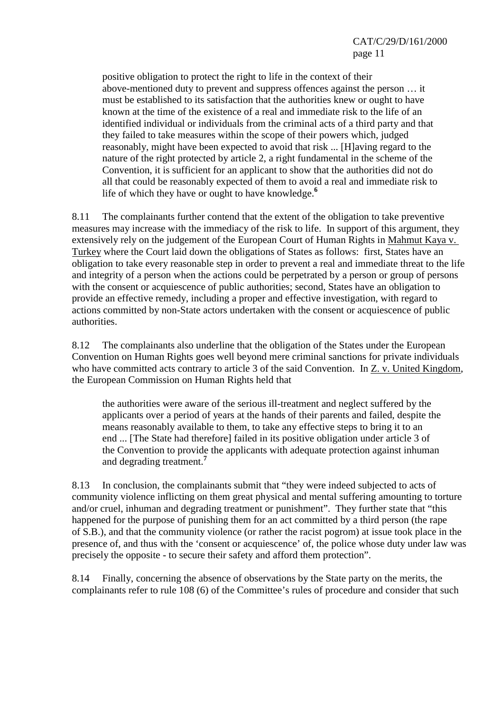positive obligation to protect the right to life in the context of their above-mentioned duty to prevent and suppress offences against the person … it must be established to its satisfaction that the authorities knew or ought to have known at the time of the existence of a real and immediate risk to the life of an identified individual or individuals from the criminal acts of a third party and that they failed to take measures within the scope of their powers which, judged reasonably, might have been expected to avoid that risk ... [H]aving regard to the nature of the right protected by article 2, a right fundamental in the scheme of the Convention, it is sufficient for an applicant to show that the authorities did not do all that could be reasonably expected of them to avoid a real and immediate risk to life of which they have or ought to have knowledge.**<sup>6</sup>**

8.11 The complainants further contend that the extent of the obligation to take preventive measures may increase with the immediacy of the risk to life. In support of this argument, they extensively rely on the judgement of the European Court of Human Rights in Mahmut Kaya v. Turkey where the Court laid down the obligations of States as follows: first, States have an obligation to take every reasonable step in order to prevent a real and immediate threat to the life and integrity of a person when the actions could be perpetrated by a person or group of persons with the consent or acquiescence of public authorities; second, States have an obligation to provide an effective remedy, including a proper and effective investigation, with regard to actions committed by non-State actors undertaken with the consent or acquiescence of public authorities.

8.12 The complainants also underline that the obligation of the States under the European Convention on Human Rights goes well beyond mere criminal sanctions for private individuals who have committed acts contrary to article 3 of the said Convention. In Z. v. United Kingdom, the European Commission on Human Rights held that

the authorities were aware of the serious ill-treatment and neglect suffered by the applicants over a period of years at the hands of their parents and failed, despite the means reasonably available to them, to take any effective steps to bring it to an end ... [The State had therefore] failed in its positive obligation under article 3 of the Convention to provide the applicants with adequate protection against inhuman and degrading treatment.**<sup>7</sup>**

8.13 In conclusion, the complainants submit that "they were indeed subjected to acts of community violence inflicting on them great physical and mental suffering amounting to torture and/or cruel, inhuman and degrading treatment or punishment". They further state that "this happened for the purpose of punishing them for an act committed by a third person (the rape of S.B.), and that the community violence (or rather the racist pogrom) at issue took place in the presence of, and thus with the 'consent or acquiescence' of, the police whose duty under law was precisely the opposite - to secure their safety and afford them protection".

8.14 Finally, concerning the absence of observations by the State party on the merits, the complainants refer to rule 108 (6) of the Committee's rules of procedure and consider that such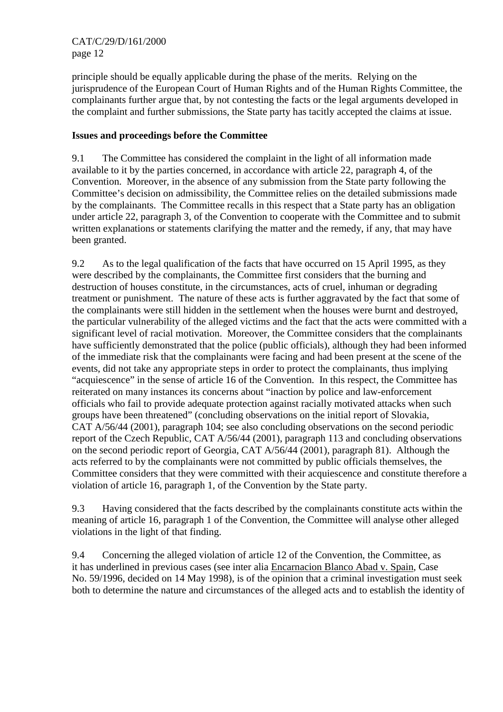principle should be equally applicable during the phase of the merits. Relying on the jurisprudence of the European Court of Human Rights and of the Human Rights Committee, the complainants further argue that, by not contesting the facts or the legal arguments developed in the complaint and further submissions, the State party has tacitly accepted the claims at issue.

# **Issues and proceedings before the Committee**

9.1 The Committee has considered the complaint in the light of all information made available to it by the parties concerned, in accordance with article 22, paragraph 4, of the Convention. Moreover, in the absence of any submission from the State party following the Committee's decision on admissibility, the Committee relies on the detailed submissions made by the complainants. The Committee recalls in this respect that a State party has an obligation under article 22, paragraph 3, of the Convention to cooperate with the Committee and to submit written explanations or statements clarifying the matter and the remedy, if any, that may have been granted.

9.2 As to the legal qualification of the facts that have occurred on 15 April 1995, as they were described by the complainants, the Committee first considers that the burning and destruction of houses constitute, in the circumstances, acts of cruel, inhuman or degrading treatment or punishment. The nature of these acts is further aggravated by the fact that some of the complainants were still hidden in the settlement when the houses were burnt and destroyed, the particular vulnerability of the alleged victims and the fact that the acts were committed with a significant level of racial motivation. Moreover, the Committee considers that the complainants have sufficiently demonstrated that the police (public officials), although they had been informed of the immediate risk that the complainants were facing and had been present at the scene of the events, did not take any appropriate steps in order to protect the complainants, thus implying "acquiescence" in the sense of article 16 of the Convention. In this respect, the Committee has reiterated on many instances its concerns about "inaction by police and law-enforcement officials who fail to provide adequate protection against racially motivated attacks when such groups have been threatened" (concluding observations on the initial report of Slovakia, CAT A/56/44 (2001), paragraph 104; see also concluding observations on the second periodic report of the Czech Republic, CAT A/56/44 (2001), paragraph 113 and concluding observations on the second periodic report of Georgia, CAT A/56/44 (2001), paragraph 81). Although the acts referred to by the complainants were not committed by public officials themselves, the Committee considers that they were committed with their acquiescence and constitute therefore a violation of article 16, paragraph 1, of the Convention by the State party.

9.3 Having considered that the facts described by the complainants constitute acts within the meaning of article 16, paragraph 1 of the Convention, the Committee will analyse other alleged violations in the light of that finding.

9.4 Concerning the alleged violation of article 12 of the Convention, the Committee, as it has underlined in previous cases (see inter alia Encarnacion Blanco Abad v. Spain, Case No. 59/1996, decided on 14 May 1998), is of the opinion that a criminal investigation must seek both to determine the nature and circumstances of the alleged acts and to establish the identity of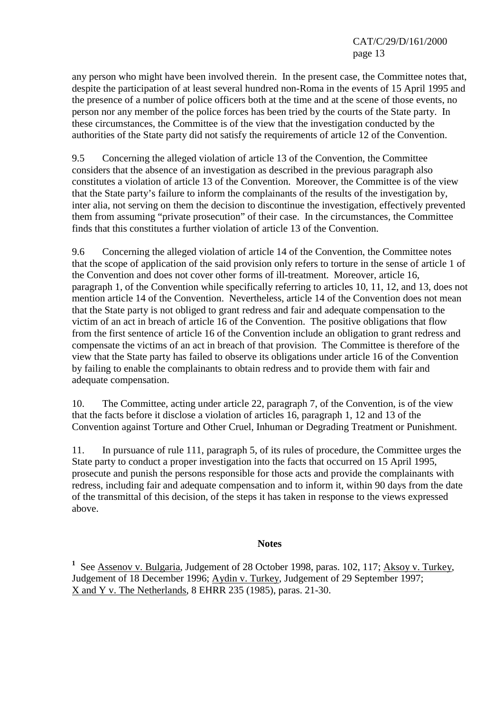any person who might have been involved therein. In the present case, the Committee notes that, despite the participation of at least several hundred non-Roma in the events of 15 April 1995 and the presence of a number of police officers both at the time and at the scene of those events, no person nor any member of the police forces has been tried by the courts of the State party. In these circumstances, the Committee is of the view that the investigation conducted by the authorities of the State party did not satisfy the requirements of article 12 of the Convention.

9.5 Concerning the alleged violation of article 13 of the Convention, the Committee considers that the absence of an investigation as described in the previous paragraph also constitutes a violation of article 13 of the Convention. Moreover, the Committee is of the view that the State party's failure to inform the complainants of the results of the investigation by, inter alia, not serving on them the decision to discontinue the investigation, effectively prevented them from assuming "private prosecution" of their case. In the circumstances, the Committee finds that this constitutes a further violation of article 13 of the Convention.

9.6 Concerning the alleged violation of article 14 of the Convention, the Committee notes that the scope of application of the said provision only refers to torture in the sense of article 1 of the Convention and does not cover other forms of ill-treatment. Moreover, article 16, paragraph 1, of the Convention while specifically referring to articles 10, 11, 12, and 13, does not mention article 14 of the Convention. Nevertheless, article 14 of the Convention does not mean that the State party is not obliged to grant redress and fair and adequate compensation to the victim of an act in breach of article 16 of the Convention. The positive obligations that flow from the first sentence of article 16 of the Convention include an obligation to grant redress and compensate the victims of an act in breach of that provision. The Committee is therefore of the view that the State party has failed to observe its obligations under article 16 of the Convention by failing to enable the complainants to obtain redress and to provide them with fair and adequate compensation.

10. The Committee, acting under article 22, paragraph 7, of the Convention, is of the view that the facts before it disclose a violation of articles 16, paragraph 1, 12 and 13 of the Convention against Torture and Other Cruel, Inhuman or Degrading Treatment or Punishment.

11. In pursuance of rule 111, paragraph 5, of its rules of procedure, the Committee urges the State party to conduct a proper investigation into the facts that occurred on 15 April 1995, prosecute and punish the persons responsible for those acts and provide the complainants with redress, including fair and adequate compensation and to inform it, within 90 days from the date of the transmittal of this decision, of the steps it has taken in response to the views expressed above.

### **Notes**

<sup>1</sup> See Assenov v. Bulgaria, Judgement of 28 October 1998, paras. 102, 117; Aksoy v. Turkey, Judgement of 18 December 1996; Aydin v. Turkey, Judgement of 29 September 1997; X and Y v. The Netherlands, 8 EHRR 235 (1985), paras. 21-30.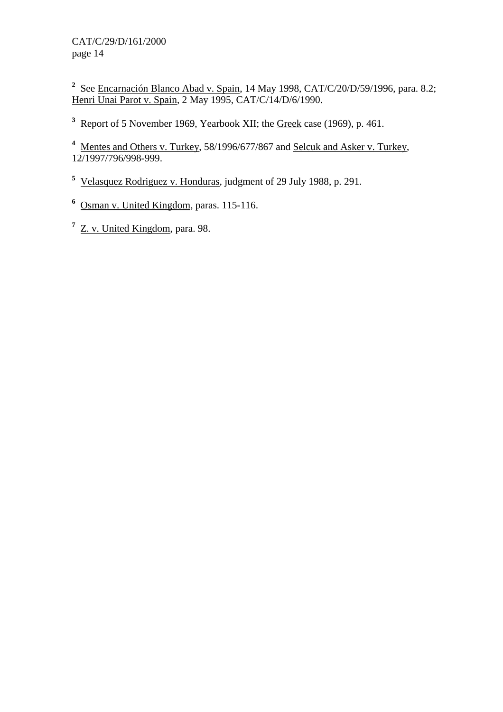<sup>2</sup> See Encarnación Blanco Abad v. Spain, 14 May 1998, CAT/C/20/D/59/1996, para. 8.2; Henri Unai Parot v. Spain, 2 May 1995, CAT/C/14/D/6/1990.

<sup>3</sup> Report of 5 November 1969, Yearbook XII; the <u>Greek</u> case (1969), p. 461.

<sup>4</sup> Mentes and Others v. Turkey, 58/1996/677/867 and Selcuk and Asker v. Turkey, 12/1997/796/998-999.

**5** Velasquez Rodriguez v. Honduras, judgment of 29 July 1988, p. 291.

**6** Osman v. United Kingdom, paras. 115-116.

<sup>7</sup> Z. v. United Kingdom, para. 98.